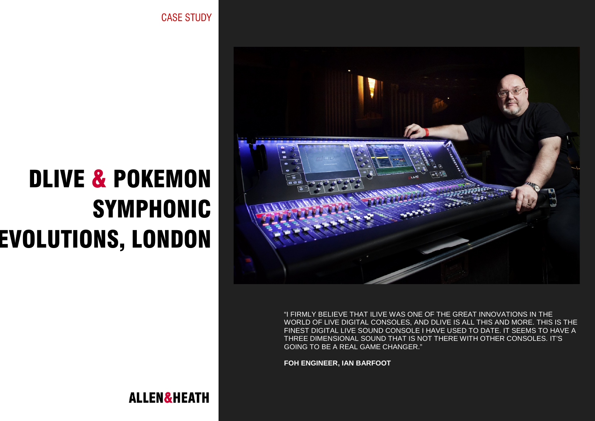DLIVE & POKEMON SYMPHONIC EVOLUTIONS, LONDON

"I FIRMLY BELIEVE THAT ILIVE WAS ONE OF THE GREAT INNOVATIONS IN THE WORLD OF LIVE DIGITAL CONSOLES, AND DLIVE IS ALL THIS AND MORE. THIS IS THE FINEST DIGITAL LIVE SOUND CONSOLE I HAVE USED TO DATE. IT SEEMS TO HAVE A THREE DIMENSIONAL SOUND THAT IS NOT THERE WITH OTHER CONSOLES. IT'S GOING TO BE A REAL GAME CHANGER."

**FOH ENGINEER, IAN BARFOOT**

CASE STUDY

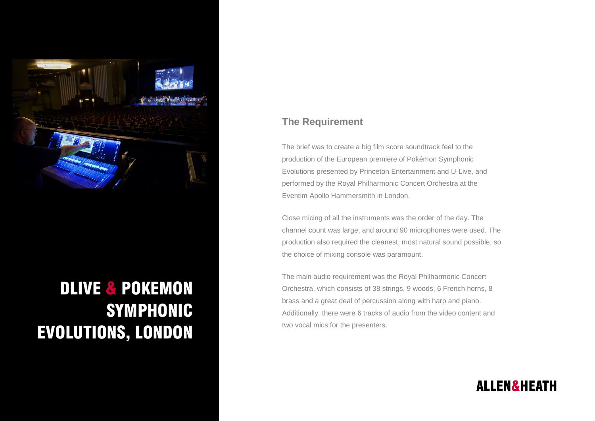

## DLIVE & POKEMON SYMPHONIC EVOLUTIONS, LONDON

## **The Requirement**

The brief was to create a big film score soundtrack feel to the production of the European premiere of Pokémon Symphonic Evolutions presented by Princeton Entertainment and U-Live, and performed by the Royal Philharmonic Concert Orchestra at the Eventim Apollo Hammersmith in London.

Close micing of all the instruments was the order of the day. The channel count was large, and around 90 microphones were used. The production also required the cleanest, most natural sound possible, so the choice of mixing console was paramount.

The main audio requirement was the Royal Philharmonic Concert Orchestra, which consists of 38 strings, 9 woods, 6 French horns, 8 brass and a great deal of percussion along with harp and piano. Additionally, there were 6 tracks of audio from the video content and two vocal mics for the presenters.

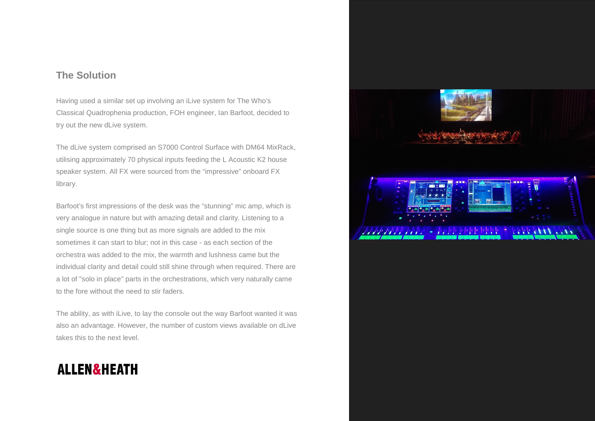## **The Solution**

Having used a similar set up involving an iLive system for The Who's Classical Quadrophenia production, FOH engineer, Ian Barfoot, decided to try out the new dLive system.

The dLive system comprised an S7000 Control Surface with DM64 MixRack, utilising approximately 70 physical inputs feeding the L Acoustic K2 house speaker system. All FX were sourced from the "impressive" onboard FX library.

Barfoot's first impressions of the desk was the "stunning" mic amp, which is very analogue in nature but with amazing detail and clarity. Listening to a single source is one thing but as more signals are added to the mix sometimes it can start to blur; not in this case - as each section of the orchestra was added to the mix, the warmth and lushness came but the individual clarity and detail could still shine through when required. There are a lot of "solo in place" parts in the orchestrations, which very naturally came to the fore without the need to stir faders.

The ability, as with iLive, to lay the console out the way Barfoot wanted it was also an advantage. However, the number of custom views available on dLive takes this to the next level.